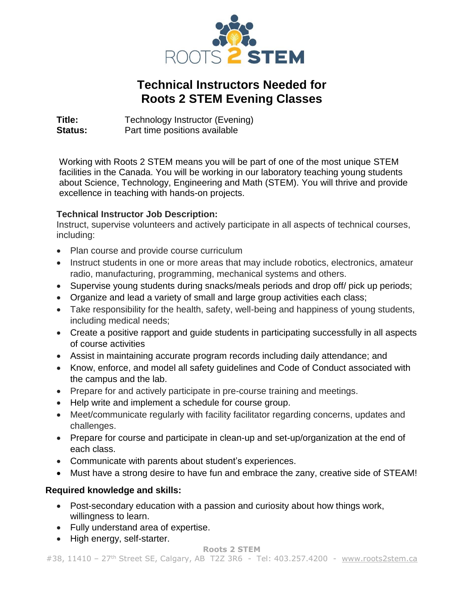

## **Technical Instructors Needed for Roots 2 STEM Evening Classes**

**Title:** Technology Instructor (Evening) **Status:** Part time positions available

Working with Roots 2 STEM means you will be part of one of the most unique STEM facilities in the Canada. You will be working in our laboratory teaching young students about Science, Technology, Engineering and Math (STEM). You will thrive and provide excellence in teaching with hands-on projects.

## **Technical Instructor Job Description:**

Instruct, supervise volunteers and actively participate in all aspects of technical courses, including:

- Plan course and provide course curriculum
- Instruct students in one or more areas that may include robotics, electronics, amateur radio, manufacturing, programming, mechanical systems and others.
- Supervise young students during snacks/meals periods and drop off/ pick up periods;
- Organize and lead a variety of small and large group activities each class;
- Take responsibility for the health, safety, well-being and happiness of young students, including medical needs;
- Create a positive rapport and guide students in participating successfully in all aspects of course activities
- Assist in maintaining accurate program records including daily attendance; and
- Know, enforce, and model all safety guidelines and Code of Conduct associated with the campus and the lab.
- Prepare for and actively participate in pre-course training and meetings.
- Help write and implement a schedule for course group.
- Meet/communicate regularly with facility facilitator regarding concerns, updates and challenges.
- Prepare for course and participate in clean-up and set-up/organization at the end of each class.
- Communicate with parents about student's experiences.
- Must have a strong desire to have fun and embrace the zany, creative side of STEAM!

## **Required knowledge and skills:**

- Post-secondary education with a passion and curiosity about how things work, willingness to learn.
- Fully understand area of expertise.
- High energy, self-starter.